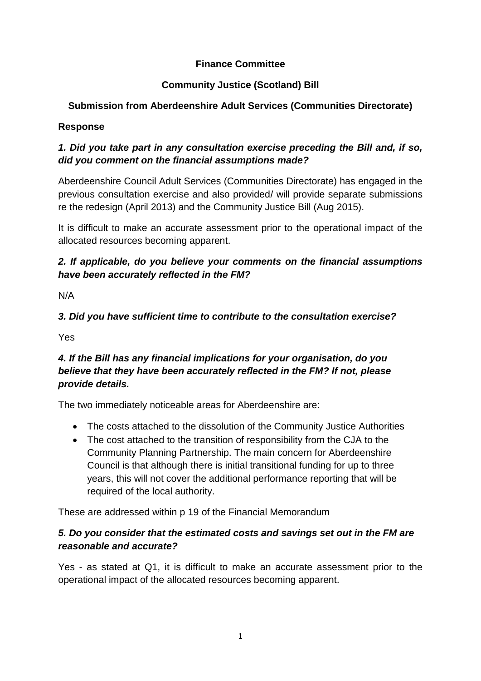### **Finance Committee**

## **Community Justice (Scotland) Bill**

# **Submission from Aberdeenshire Adult Services (Communities Directorate)**

### **Response**

# *1. Did you take part in any consultation exercise preceding the Bill and, if so, did you comment on the financial assumptions made?*

Aberdeenshire Council Adult Services (Communities Directorate) has engaged in the previous consultation exercise and also provided/ will provide separate submissions re the redesign (April 2013) and the Community Justice Bill (Aug 2015).

It is difficult to make an accurate assessment prior to the operational impact of the allocated resources becoming apparent.

## *2. If applicable, do you believe your comments on the financial assumptions have been accurately reflected in the FM?*

N/A

# *3. Did you have sufficient time to contribute to the consultation exercise?*

Yes

# *4. If the Bill has any financial implications for your organisation, do you believe that they have been accurately reflected in the FM? If not, please provide details.*

The two immediately noticeable areas for Aberdeenshire are:

- The costs attached to the dissolution of the Community Justice Authorities
- The cost attached to the transition of responsibility from the CJA to the Community Planning Partnership. The main concern for Aberdeenshire Council is that although there is initial transitional funding for up to three years, this will not cover the additional performance reporting that will be required of the local authority.

These are addressed within p 19 of the Financial Memorandum

### *5. Do you consider that the estimated costs and savings set out in the FM are reasonable and accurate?*

Yes - as stated at Q1, it is difficult to make an accurate assessment prior to the operational impact of the allocated resources becoming apparent.